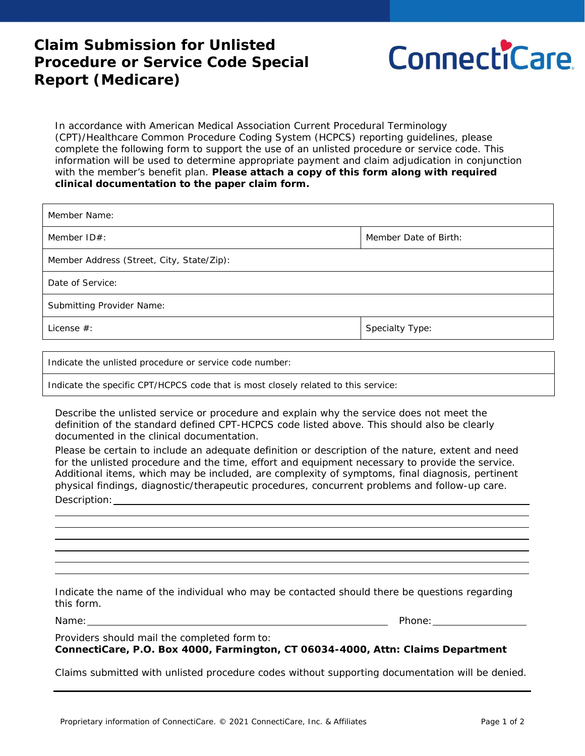## **Claim Submission for Unlisted Procedure or Service Code Special Report (Medicare)**



In accordance with American Medical Association Current Procedural Terminology (CPT)/Healthcare Common Procedure Coding System (HCPCS) reporting guidelines, please complete the following form to support the use of an unlisted procedure or service code. This information will be used to determine appropriate payment and claim adjudication in conjunction with the member's benefit plan. **Please attach a copy of this form along with required clinical documentation to the paper claim form.** 

| Member Name:                              |                       |  |
|-------------------------------------------|-----------------------|--|
| Member $ID#$ :                            | Member Date of Birth: |  |
| Member Address (Street, City, State/Zip): |                       |  |
| Date of Service:                          |                       |  |
| Submitting Provider Name:                 |                       |  |
| License $#$ :                             | Specialty Type:       |  |

| Indicate the unlisted procedure or service code number:                            |
|------------------------------------------------------------------------------------|
| Indicate the specific CPT/HCPCS code that is most closely related to this service: |

Describe the unlisted service or procedure and explain why the service does not meet the definition of the standard defined CPT-HCPCS code listed above. *This should also be clearly documented in the clinical documentation.* 

Please be certain to include an adequate definition or description of the nature, extent and need for the unlisted procedure and the time, effort and equipment necessary to provide the service. Additional items, which may be included, are complexity of symptoms, final diagnosis, pertinent physical findings, diagnostic/therapeutic procedures, concurrent problems and follow-up care. Description:

Indicate the name of the individual who may be contacted should there be questions regarding this form.

Name: Name: Name: Phone: Phone: Phone: Phone: Phone: Phone: Phone: Phone: Phone: Phone: Phone: Phone: Phone: Phone: Phone: Phone: Phone: Phone: Phone: Phone: Phone: Phone: Phone: Phone: Phone: Phone: Phone: Phone: Phone: P

Providers should mail the completed form to: **ConnectiCare, P.O. Box 4000, Farmington, CT 06034-4000, Attn: Claims Department** 

*Claims submitted with unlisted procedure codes without supporting documentation will be denied.*